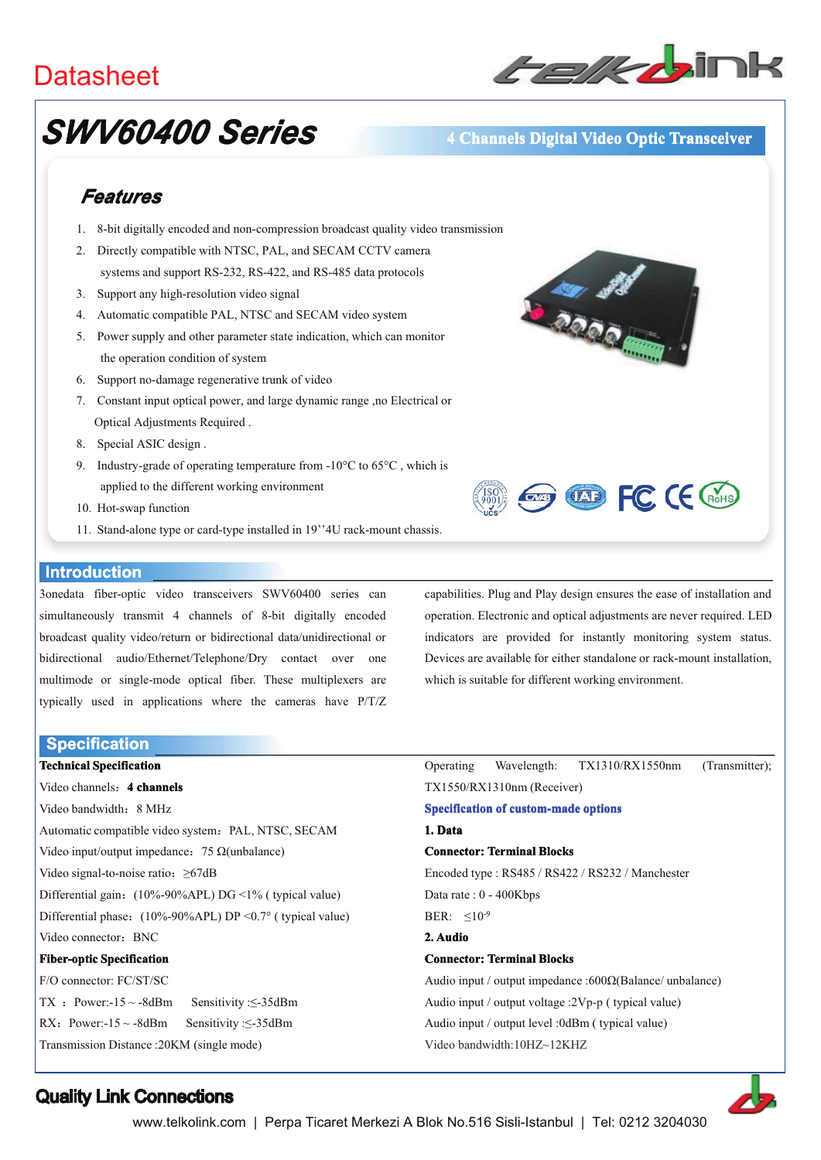## **Datasheet**



# **SWV60400 Series**

### 4 Channels Digital Video Optic Transceiver

## Features

- 1. 8-bit digitally encoded and non-compression broadcast quality video transmission
- 2. Directly compatible with NTSC, PAL, and SECAM CCTV camera systems and support RS-232, RS-422, and RS-485 data protocols
- 3. Support any high-resolution video signal
- 4. Automatic compatible PAL, NTSC and SECAM video system
- 5. Power supply and other parameter state indication, which can monitor the operation condition of system
- 6. Support no-damage regenerative trunk of video
- 7. Constant input optical power, and large dynamic range ,no Electrical or Optical Adjustments Required.
- 8. Special ASIC design.
- 9. Industry-grade of operating temperature from -10 $^{\circ}$ C to 65 $^{\circ}$ C, which is applied to the different working environment
- 10. Hot-swap function
- 11. Stand-alone type or card-type installed in 19"4U rack-mount chassis.

#### **Introduction**

3onedata fiber-optic video transceivers SWV60400 series can simultaneously transmit 4 channels of 8-bit digitally encoded broadcast quality video/return or bidirectional data/unidirectional or bidirectional audio/Ethernet/Telephone/Dry contact over one multimode or single-mode optical fiber. These multiplexers are typically used in applications where the cameras have P/T/Z

**Specification Technical Specification** 

Video channels: 4 channels Video bandwidth: 8 MHz Automatic compatible video system: PAL, NTSC, SECAM Video input/output impedance: 75  $\Omega$ (unbalance) Video signal-to-noise ratio:  $\geq 67$ dB Differential gain: (10%-90%APL) DG <1% (typical value) Differential phase:  $(10\% - 90\% APL) DP < 0.7$ ° (typical value) Video connector: BNC **Fiber-optic Specification** F/O connector: FC/ST/SC TX : Power:- $15 \sim -8$ dBm Sensitivity: $\leq -35$ dBm RX: Power:- $15 \sim -8$ dBm Sensitivity: <- 35dBm

**ARRIO E** 



capabilities. Plug and Play design ensures the ease of installation and operation. Electronic and optical adjustments are never required. LED indicators are provided for instantly monitoring system status. Devices are available for either standalone or rack-mount installation. which is suitable for different working environment.

Operating Wavelength: TX1310/RX1550nm (Transmitter): TX1550/RX1310nm (Receiver) **Specification of custom-made options** 1 Data **Connector: Terminal Blocks** Encoded type: RS485 / RS422 / RS232 / Manchester Data rate: 0 - 400Kbps BER:  $\leq 10^{-9}$ 2 Audio **Connector: Terminal Blocks** Audio input / output impedance :600 $\Omega$ (Balance/ unbalance) Audio input / output voltage :2Vp-p (typical value)

Audio input / output level :0dBm ( typical value)

Video bandwidth:10HZ~12KHZ



## **Quality Link Connections**

Transmission Distance: 20KM (single mode)